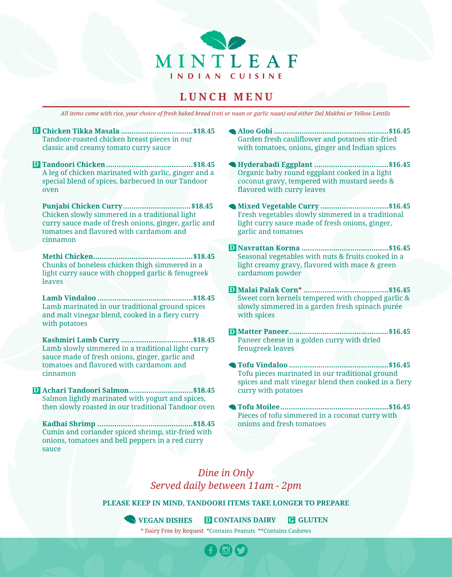

### **LUNCH MENU**

*All items come with rice, your choice of fresh baked bread (roti or naan or garlic naan) and either Dal Makhni or Yellow Lentils*

**Chicken Tikka Masala ..................................\$18.45 D** Tandoor-roasted chicken breast pieces in our classic and creamy tomato curry sauce

**Tandoori Chicken.........................................\$18.45 D** A leg of chicken marinated with garlic, ginger and a special blend of spices, barbecued in our Tandoor oven

**Punjabi Chicken Curry................................\$18.45**  Chicken slowly simmered in a traditional light curry sauce made of fresh onions, ginger, garlic and tomatoes and flavored with cardamom and cinnamon

**Methi Chicken...............................................\$18.45** Chunks of boneless chicken thigh simmered in a light curry sauce with chopped garlic & fenugreek leaves

**Lamb Vindaloo .............................................\$18.45**  Lamb marinated in our traditional ground spices and malt vinegar blend, cooked in a fiery curry with potatoes

**Kashmiri Lamb Curry ..................................\$18.45**  Lamb slowly simmered in a traditional light curry sauce made of fresh onions, ginger, garlic and tomatoes and flavored with cardamom and cinnamon

**Achari Tandoori Salmon..............................\$18.45 D** Salmon lightly marinated with yogurt and spices, then slowly roasted in our traditional Tandoor oven

**Kadhai Shrimp .............................................\$18.45**  Cumin and coriander spiced shrimp, stir-fried with onions, tomatoes and bell peppers in a red curry sauce

- **Aloo Gobi ......................................................\$16.45**  Garden fresh cauliflower and potatoes stir-fried with tomatoes, onions, ginger and Indian spices
- **Hyderabadi Eggplant ...................................\$16.45**  Organic baby round eggplant cooked in a light coconut gravy, tempered with mustard seeds & flavored with curry leaves
- **Mixed Vegetable Curry ................................\$16.45**  Fresh vegetables slowly simmered in a traditional light curry sauce made of fresh onions, ginger, garlic and tomatoes
- **Navrattan Korma .........................................\$16.45 D** Seasonal vegetables with nuts & fruits cooked in a light creamy gravy, flavored with mace & green cardamom powder
- **Malai Palak Corn\* ........................................\$16.45 D** Sweet corn kernels tempered with chopped garlic & slowly simmered in a garden fresh spinach purée with spices
- **Matter Paneer...............................................\$16.45 D** Paneer cheese in a golden curry with dried fenugreek leaves
- **Tofu Vindaloo ...............................................\$16.45**  Tofu pieces marinated in our traditional ground spices and malt vinegar blend then cooked in a fiery curry with potatoes
- **Tofu Moilee...................................................\$16.45**  Pieces of tofu simmered in a coconut curry with onions and fresh tomatoes

### *Dine in Only Served daily between 11am - 2pm*

**PLEASE KEEP IN MIND, TANDOORI ITEMS TAKE LONGER TO PREPARE**

\* Dairy Free by Request \*Contains Peanuts \*\*Contains Cashews **VEGAN DISHES D CONTAINS DAIRY G GLUTEN**

 $\Box$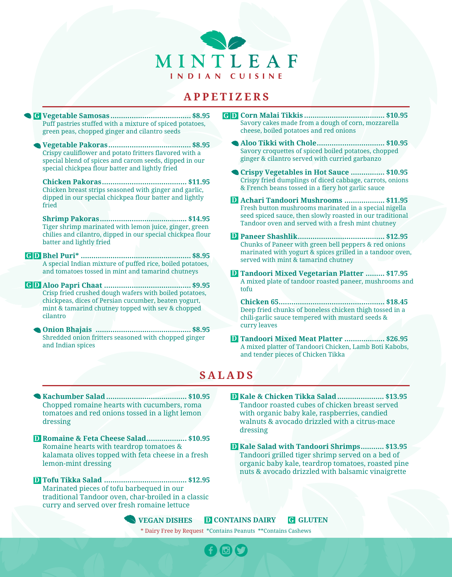

### **APPETIZERS**

**Vegetable Samosas ...................................... \$8.95 G G** Puff pastries stuffed with a mixture of spiced potatoes, green peas, chopped ginger and cilantro seeds

**Vegetable Pakoras....................................... \$8.95** Crispy cauliflower and potato fritters flavored with a special blend of spices and carom seeds, dipped in our special chickpea flour batter and lightly fried

**Chicken Pakoras........................................ \$11.95** Chicken breast strips seasoned with ginger and garlic, dipped in our special chickpea flour batter and lightly fried

**Shrimp Pakoras......................................... \$14.95** Tiger shrimp marinated with lemon juice, ginger, green chilies and cilantro, dipped in our special chickpea flour batter and lightly fried

**Bhel Puri\* .................................................... \$8.95 D G** A special Indian mixture of puffed rice, boiled potatoes, and tomatoes tossed in mint and tamarind chutneys

**Aloo Papri Chaat ......................................... \$9.95 D G** Crisp fried crushed dough wafers with boiled potatoes, chickpeas, dices of Persian cucumber, beaten yogurt, mint & tamarind chutney topped with sev & chopped cilantro

**Onion Bhajais ............................................. \$8.95** Shredded onion fritters seasoned with chopped ginger and Indian spices

- **Corn Malai Tikkis ...................................... \$10.95 D** Savory cakes made from a dough of corn, mozzarella cheese, boiled potatoes and red onions
- **Aloo Tikki with Chole................................ \$10.95** Savory croquettes of spiced boiled potatoes, chopped ginger & cilantro served with curried garbanzo
- **Crispy Vegetables in Hot Sauce ................ \$10.95** Crispy fried dumplings of diced cabbage, carrots, onions & French beans tossed in a fiery hot garlic sauce
- **Achari Tandoori Mushrooms ................... \$11.95 D** Fresh button mushrooms marinated in a special nigella seed spiced sauce, then slowly roasted in our traditional Tandoor oven and served with a fresh mint chutney
- **Paneer Shashlik......................................... \$12.95 D** Chunks of Paneer with green bell peppers & red onions marinated with yogurt & spices grilled in a tandoor oven, served with mint & tamarind chutney
- **Tandoori Mixed Vegetarian Platter ......... \$17.95 D** A mixed plate of tandoor roasted paneer, mushrooms and tofu

**Chicken 65.................................................. \$18.45** Deep fried chunks of boneless chicken thigh tossed in a chili-garlic sauce tempered with mustard seeds & curry leaves

**Tandoori Mixed Meat Platter ................... \$26.95 D** A mixed platter of Tandoori Chicken, Lamb Boti Kabobs, and tender pieces of Chicken Tikka

### **SALADS**

- **Kachumber Salad ...................................... \$10.95** Chopped romaine hearts with cucumbers, roma tomatoes and red onions tossed in a light lemon dressing
- **Romaine & Feta Cheese Salad................... \$10.95 D** Romaine hearts with teardrop tomatoes & kalamata olives topped with feta cheese in a fresh lemon-mint dressing
- **Tofu Tikka Salad ....................................... \$12.95 D** Marinated pieces of tofu barbequed in our traditional Tandoor oven, char-broiled in a classic curry and served over fresh romaine lettuce
- **Kale & Chicken Tikka Salad ...................... \$13.95 D** Tandoor roasted cubes of chicken breast served with organic baby kale, raspberries, candied walnuts & avocado drizzled with a citrus-mace dressing
- **Kale Salad with Tandoori Shrimps........... \$13.95 D** Tandoori grilled tiger shrimp served on a bed of organic baby kale, teardrop tomatoes, roasted pine nuts & avocado drizzled with balsamic vinaigrette

**VEGAN DISHES D CONTAINS DAIRY G GLUTEN**

\* Dairy Free by Request \*Contains Peanuts \*\*Contains Cashews

**POLA**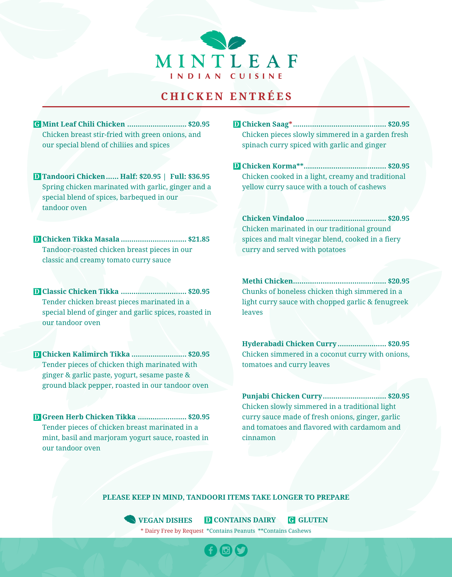

# **CHICKEN ENTR É E S**

- **Mint Leaf Chili Chicken ............................ \$20.95 G**Chicken breast stir-fried with green onions, and our special blend of chiliies and spices
- **Tandoori Chicken...... Half: \$20.95 | Full: \$36.95 D** Spring chicken marinated with garlic, ginger and a special blend of spices, barbequed in our tandoor oven
- **Chicken Tikka Masala ............................... \$21.85 D** Tandoor-roasted chicken breast pieces in our classic and creamy tomato curry sauce
- **Classic Chicken Tikka ............................... \$20.95 D** Tender chicken breast pieces marinated in a special blend of ginger and garlic spices, roasted in our tandoor oven
- **Chicken Kalimirch Tikka .......................... \$20.95 D** Tender pieces of chicken thigh marinated with ginger & garlic paste, yogurt, sesame paste & ground black pepper, roasted in our tandoor oven
- **Green Herb Chicken Tikka ....................... \$20.95 D** Tender pieces of chicken breast marinated in a mint, basil and marjoram yogurt sauce, roasted in our tandoor oven
- **Chicken Saag\*............................................ \$20.95 D** Chicken pieces slowly simmered in a garden fresh spinach curry spiced with garlic and ginger
- **Chicken Korma\*\*....................................... \$20.95 D** Chicken cooked in a light, creamy and traditional yellow curry sauce with a touch of cashews
	- **Chicken Vindaloo ...................................... \$20.95**  Chicken marinated in our traditional ground spices and malt vinegar blend, cooked in a fiery curry and served with potatoes
	- **Methi Chicken............................................ \$20.95**  Chunks of boneless chicken thigh simmered in a light curry sauce with chopped garlic & fenugreek leaves
	- **Hyderabadi Chicken Curry ....................... \$20.95**  Chicken simmered in a coconut curry with onions, tomatoes and curry leaves
	- **Punjabi Chicken Curry.............................. \$20.95**  Chicken slowly simmered in a traditional light curry sauce made of fresh onions, ginger, garlic and tomatoes and flavored with cardamom and cinnamon

### **PLEASE KEEP IN MIND, TANDOORI ITEMS TAKE LONGER TO PREPARE**

\* Dairy Free by Request \*Contains Peanuts \*\*Contains Cashews **VEGAN DISHES D CONTAINS DAIRY G GLUTEN**

GO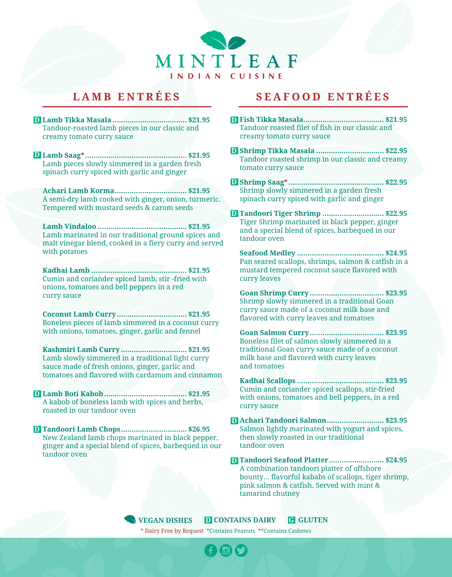

**Lamb Tikka Masala ................................... \$21.95 D D** Tandoor-roasted lamb pieces in our classic and creamy tomato curry sauce

**Lamb Saag\*................................................ \$21.95 D** Lamb pieces slowly simmered in a garden fresh spinach curry spiced with garlic and ginger

**Achari Lamb Korma.................................. \$21.95** A semi-dry lamb cooked with ginger, onion, turmeric. Tempered with mustard seeds & carom seeds

**Lamb Vindaloo .......................................... \$21.95** Lamb marinated in our traditional ground spices and malt vinegar blend, cooked in a fiery curry and served with potatoes

**Kadhai Lamb ............................................. \$21.95** Cumin and coriander spiced lamb, stir -fried with onions, tomatoes and bell peppers in a red curry sauce

**Coconut Lamb Curry................................. \$21.95** Boneless pieces of lamb simmered in a coconut curry with onions, tomatoes, ginger, garlic and fennel

**Kashmiri Lamb Curry ............................... \$21.95** Lamb slowly simmered in a traditional light curry sauce made of fresh onions, ginger, garlic and tomatoes and flavored with cardamom and cinnamon

**Lamb Boti Kabob....................................... \$21.95 D** A kabob of boneless lamb with spices and herbs, roasted in our tandoor oven

**Tandoori Lamb Chops............................... \$26.95 D** New Zealand lamb chops marinated in black pepper, ginger and a special blend of spices, barbequed in our tandoor oven

# **LAMB ENTR É E S SEAFOOD ENTR É E S**

- **Fish Tikka Masala...................................... \$21.95** Tandoor roasted filet of fish in our classic and creamy tomato curry sauce
- **Shrimp Tikka Masala ................................ \$22.95 D** Tandoor roasted shrimp in our classic and creamy tomato curry sauce
- **Shrimp Saag\* ............................................. \$22.95 D** Shrimp slowly simmered in a garden fresh spinach curry spiced with garlic and ginger
- **Tandoori Tiger Shrimp ............................. \$22.95 D** Tiger Shrimp marinated in black pepper, ginger and a special blend of spices, barbequed in our tandoor oven

**Seafood Medley ......................................... \$24.95** Pan seared scallops, shrimps, salmon & catfish in a mustard tempered coconut sauce flavored with curry leaves

**Goan Shrimp Curry ................................... \$23.95** Shrimp slowly simmered in a traditional Goan curry sauce made of a coconut milk base and flavored with curry leaves and tomatoes

**Goan Salmon Curry................................... \$23.95** Boneless filet of salmon slowly simmered in a traditional Goan curry sauce made of a coconut milk base and flavored with curry leaves and tomatoes

**Kadhai Scallops ......................................... \$23.95** Cumin and coriander spiced scallops, stir-fried with onions, tomatoes and bell peppers, in a red curry sauce

**Achari Tandoori Salmon........................... \$23.95 D** Salmon lightly marinated with yogurt and spices, then slowly roasted in our traditional tandoor oven

**Tandoori Seafood Platter.......................... \$24.95 D** A combination tandoori platter of offshore bounty... flavorful kababs of scallops, tiger shrimp, pink salmon & catfish. Served with mint & tamarind chutney

\* Dairy Free by Request \*Contains Peanuts \*\*Contains Cashews **VEGAN DISHES D CONTAINS DAIRY G GLUTEN**

**DIA**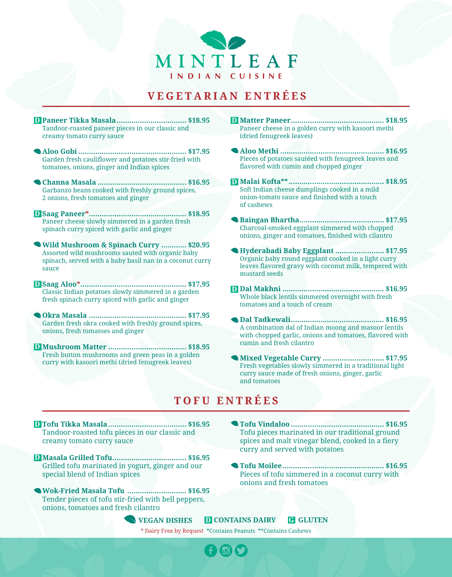

### **VEGETARIAN ENTR É E S**

- **Paneer Tikka Masala................................. \$18.95 D** Tandoor-roasted paneer pieces in our classic and creamy tomato curry sauce
- **Aloo Gobi ................................................... \$17.95** Garden fresh cauliflower and potatoes stir-fried with tomatoes, onions, ginger and Indian spices
- **Channa Masala .......................................... \$16.95**  Garbanzo beans cooked with freshly ground spices, 2 onions, fresh tomatoes and ginger
- **Saag Paneer\*.............................................. \$18.95 D** Paneer cheese slowly simmered in a garden fresh spinach curry spiced with garlic and ginger
- **Wild Mushroom & Spinach Curry ............ \$20.95** Assorted wild mushrooms sauted with organic baby spinach, served with a baby basil nan in a coconut curry sauce
- **Saag Aloo\*.................................................. \$17.95 D** Classic Indian potatoes slowly simmered in a garden fresh spinach curry spiced with garlic and ginger
- **Okra Masala .............................................. \$17.95** Garden fresh okra cooked with freshly ground spices, onions, fresh tomatoes and ginger
- **Mushroom Matter ..................................... \$18.95 D** Fresh button mushrooms and green peas in a golden curry with kasoori methi (dried fenugreek leaves)
- **Matter Paneer............................................ \$18.95 D** Paneer cheese in a golden curry with kasoori methi (dried fenugreek leaves)
- **Aloo Methi ................................................. \$16.95**  Pieces of potatoes sautéed with fenugreek leaves and flavored with cumin and chopped ginger
- **Malai Kofta\*\*............................................. \$18.95 D** Soft Indian cheese dumplings cooked in a mild onion-tomato sauce and finished with a touch of cashews
- **Baingan Bhartha........................................ \$17.95**  Charcoal-smoked eggplant simmered with chopped onions, ginger and tomatoes, finished with cilantro
- **Hyderabadi Baby Eggplant ....................... \$17.95**  Organic baby round eggplant cooked in a light curry leaves flavored gravy with coconut milk, tempered with mustard seeds
- **Dal Makhni ................................................ \$16.95 D** Whole black lentils simmered overnight with fresh tomatoes and a touch of cream
- **Dal Tadkewali............................................ \$16.95**  A combination dal of Indian moong and masoor lentils with chopped garlic, onions and tomatoes, flavored with cumin and fresh cilantro
- **Mixed Vegetable Curry ............................. \$17.95**  Fresh vegetables slowly simmered in a traditional light curry sauce made of fresh onions, ginger, garlic and tomatoes

## **TOFU ENTR É E S**

- **Tofu Tikka Masala..................................... \$16.95 D** Tandoor-roasted tofu pieces in our classic and creamy tomato curry sauce
- **Masala Grilled Tofu................................... \$16.95 D** Grilled tofu marinated in yogurt, ginger and our special blend of Indian spices
- **Wok-Fried Masala Tofu ............................ \$16.95** Tender pieces of tofu stir-fried with bell peppers, onions, tomatoes and fresh cilantro
- **Tofu Vindaloo ............................................ \$16.95** Tofu pieces marinated in our traditional ground spices and malt vinegar blend, cooked in a fiery curry and served with potatoes
- **Tofu Moilee................................................ \$16.95** Pieces of tofu simmered in a coconut curry with onions and fresh tomatoes

**VEGAN DISHES D CONTAINS DAIRY G GLUTEN**

\* Dairy Free by Request \*Contains Peanuts \*\*Contains Cashews

**POLA**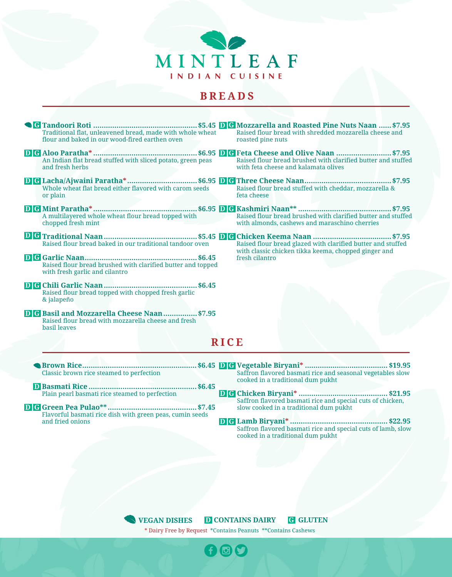

### **BREADS**

- **RICE Tandoori Roti .................................................\$5.45 Mozzarella and Roasted Pine Nuts Naan ......\$7.95 G G D** Traditional flat, unleavened bread, made with whole wheat flour and baked in our wood-fired earthen oven **Aloo Paratha\* .................................................\$6.95 Feta Cheese and Olive Naan ..........................\$7.95 G G D D** An Indian flat bread stuffed with sliced potato, green peas and fresh herbs **Lacha/Ajwaini Paratha\*.................................\$6.95 Three Cheese Naan.........................................\$7.95 G G D D** Whole wheat flat bread either flavored with carom seeds or plain **Mint Paratha\* .................................................\$6.95 Kashmiri Naan\*\* ............................................\$7.95 G G D D** A multilayered whole wheat flour bread topped with chopped fresh mint **Traditional Naan ............................................\$5.45 Chicken Keema Naan .....................................\$7.95 G G D D** Raised flour bread baked in our traditional tandoor oven **Garlic Naan..................................................... \$6.45 G D** Raised flour bread brushed with clarified butter and topped with fresh garlic and cilantro **Chili Garlic Naan ............................................\$6.45 D G** Raised flour bread topped with chopped fresh garlic & jalapeño **D G** Basil and Mozzarella Cheese Naan................\$7.95 Raised flour bread with mozzarella cheese and fresh basil leaves Raised flour bread with shredded mozzarella cheese and roasted pine nuts Raised flour bread brushed with clarified butter and stuffed with feta cheese and kalamata olives Raised flour bread stuffed with cheddar, mozzarella & feta cheese Raised flour bread brushed with clarified butter and stuffed with almonds, cashews and maraschino cherries Raised flour bread glazed with clarified butter and stuffed with classic chicken tikka keema, chopped ginger and fresh cilantro **Brown Rice...................................................... \$6.45 Vegetable Biryani\* ....................................... \$19.95 G D** Classic brown rice steamed to perfection Saffron flavored basmati rice and seasonal vegetables slow cooked in a traditional dum pukht
	- **Basmati Rice ...................................................\$6.45 D** Plain pearl basmati rice steamed to perfection
- **Green Pea Pulao\*\*..........................................\$7.45 G D** Flavorful basmati rice dish with green peas, cumin seeds and fried onions
- **Chicken Biryani\* .......................................... \$21.95 G D** Saffron flavored basmati rice and special cuts of chicken, slow cooked in a traditional dum pukht
- **Lamb Biryani\* .............................................. \$22.95 G D**Saffron flavored basmati rice and special cuts of lamb, slow cooked in a traditional dum pukht

**VEGAN DISHES D CONTAINS DAIRY G GLUTEN**

\* Dairy Free by Request \*Contains Peanuts \*\*Contains Cashews